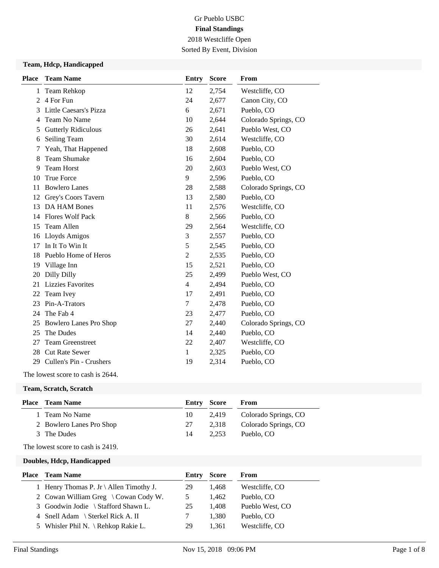# Gr Pueblo USBC **Final Standings** 2018 Westcliffe Open Sorted By Event, Division

#### **Team, Hdcp, Handicapped**

| <b>Place</b>   | <b>Team Name</b>              | <b>Entry</b>   | <b>Score</b> | From                 |
|----------------|-------------------------------|----------------|--------------|----------------------|
| $\mathbf{1}$   | Team Rehkop                   | 12             | 2,754        | Westcliffe, CO       |
| $\mathfrak{D}$ | 4 For Fun                     | 24             | 2,677        | Canon City, CO       |
| 3              | Little Caesars's Pizza        | 6              | 2,671        | Pueblo, CO           |
| 4              | Team No Name                  | 10             | 2,644        | Colorado Springs, CO |
| 5              | <b>Gutterly Ridiculous</b>    | 26             | 2,641        | Pueblo West, CO      |
| 6              | Seiling Team                  | 30             | 2,614        | Westcliffe, CO       |
| 7              | Yeah, That Happened           | 18             | 2,608        | Pueblo, CO           |
| 8              | <b>Team Shumake</b>           | 16             | 2,604        | Pueblo, CO           |
| 9              | <b>Team Horst</b>             | 20             | 2,603        | Pueblo West, CO      |
| 10             | True Force                    | 9              | 2,596        | Pueblo, CO           |
| 11             | <b>Bowlero Lanes</b>          | 28             | 2,588        | Colorado Springs, CO |
| 12             | Grey's Coors Tavern           | 13             | 2,580        | Pueblo, CO           |
| 13             | DA HAM Bones                  | 11             | 2,576        | Westcliffe, CO       |
| 14             | <b>Flores Wolf Pack</b>       | 8              | 2,566        | Pueblo, CO           |
| 15             | Team Allen                    | 29             | 2,564        | Westcliffe, CO       |
| 16             | Lloyds Amigos                 | 3              | 2,557        | Pueblo, CO           |
| 17             | In It To Win It               | 5              | 2,545        | Pueblo, CO           |
| 18             | Pueblo Home of Heros          | $\overline{c}$ | 2,535        | Pueblo, CO           |
| 19             | Village Inn                   | 15             | 2,521        | Pueblo, CO           |
| 20             | Dilly Dilly                   | 25             | 2,499        | Pueblo West, CO      |
| 21             | <b>Lizzies Favorites</b>      | 4              | 2,494        | Pueblo, CO           |
| 22             | Team Ivey                     | 17             | 2,491        | Pueblo, CO           |
| 23             | Pin-A-Trators                 | 7              | 2,478        | Pueblo, CO           |
| 24             | The Fab 4                     | 23             | 2,477        | Pueblo, CO           |
| 25             | <b>Bowlero Lanes Pro Shop</b> | 27             | 2,440        | Colorado Springs, CO |
| 25             | The Dudes                     | 14             | 2,440        | Pueblo, CO           |
| 27             | <b>Team Greenstreet</b>       | 22             | 2,407        | Westcliffe, CO       |
| 28             | <b>Cut Rate Sewer</b>         | 1              | 2,325        | Pueblo, CO           |
| 29             | Cullen's Pin - Crushers       | 19             | 2,314        | Pueblo, CO           |
|                |                               |                |              |                      |

## The lowest score to cash is 2644.

#### **Team, Scratch, Scratch**

| <b>Place</b> Team Name   |    | Entry Score | From                 |
|--------------------------|----|-------------|----------------------|
| 1 Team No Name           | 10 | 2.419       | Colorado Springs, CO |
| 2 Bowlero Lanes Pro Shop | 27 | 2.318       | Colorado Springs, CO |
| 3 The Dudes              | 14 | 2.253       | Pueblo, CO           |

The lowest score to cash is 2419.

#### **Doubles, Hdcp, Handicapped**

| <b>Place</b> Team Name                  | <b>Entry Score</b> |       | From            |
|-----------------------------------------|--------------------|-------|-----------------|
| 1 Henry Thomas P. Jr \ Allen Timothy J. | 29                 | 1.468 | Westcliffe, CO  |
| 2 Cowan William Greg \ Cowan Cody W.    | 5                  | 1.462 | Pueblo, CO      |
| 3 Goodwin Jodie \ Stafford Shawn L.     | 25                 | 1.408 | Pueblo West, CO |
| 4 Snell Adam \ Sterkel Rick A. II       |                    | 1.380 | Pueblo, CO      |
| 5 Whisler Phil N. \ Rehkop Rakie L.     | 29                 | 1.361 | Westcliffe, CO  |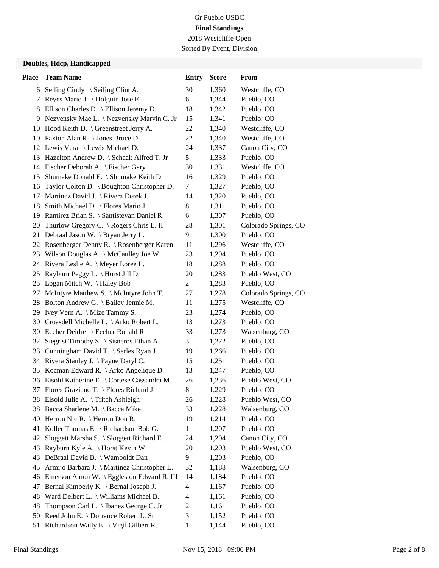Sorted By Event, Division

## **Doubles, Hdcp, Handicapped**

| <b>Place</b> | <b>Team Name</b>                                  | <b>Entry</b>             | <b>Score</b> | From                 |
|--------------|---------------------------------------------------|--------------------------|--------------|----------------------|
|              | 6 Seiling Cindy $\setminus$ Seiling Clint A.      | 30                       | 1,360        | Westcliffe, CO       |
| 7            | Reyes Mario J. \ Holguin Jose E.                  | 6                        | 1,344        | Pueblo, CO           |
| 8            | Ellison Charles D. \ Ellison Jeremy D.            | 18                       | 1,342        | Pueblo, CO           |
| 9            | Nezvensky Mae L. \ Nezvensky Marvin C. Jr         | 15                       | 1,341        | Pueblo, CO           |
| 10           | Hood Keith D. \ Greenstreet Jerry A.              | 22                       | 1,340        | Westcliffe, CO       |
|              | 10 Paxton Alan R. \ Jones Bruce D.                | 22                       | 1,340        | Westcliffe, CO       |
|              | 12 Lewis Vera \ Lewis Michael D.                  | 24                       | 1,337        | Canon City, CO       |
|              | 13 Hazelton Andrew D. \ Schaak Alfred T. Jr       | 5                        | 1,333        | Pueblo, CO           |
|              | 14 Fischer Deborah A. \ Fischer Gary              | 30                       | 1,331        | Westcliffe, CO       |
| 15           | Shumake Donald E. \ Shumake Keith D.              | 16                       | 1,329        | Pueblo, CO           |
| 16           | Taylor Colton D. \ Boughton Christopher D.        | 7                        | 1,327        | Pueblo, CO           |
| 17           | Martinez David J. \ Rivera Derek J.               | 14                       | 1,320        | Pueblo, CO           |
| 18           | Smith Michael D. \ Flores Mario J.                | 8                        | 1,311        | Pueblo, CO           |
| 19           | Ramirez Brian S. \ Santistevan Daniel R.          | 6                        | 1,307        | Pueblo, CO           |
| 20           | Thurlow Gregory C. \ Rogers Chris L. II           | 28                       | 1,301        | Colorado Springs, CO |
| 21           | Debraal Jason W. \ Bryan Jerry L.                 | 9                        | 1,300        | Pueblo, CO           |
| 22           | Rosenberger Denny R. \ Rosenberger Karen          | 11                       | 1,296        | Westcliffe, CO       |
| 23           | Wilson Douglas A. \ McCaulley Joe W.              | 23                       | 1,294        | Pueblo, CO           |
| 24           | Rivera Leslie A. \ Meyer Loree L.                 | 18                       | 1,288        | Pueblo, CO           |
| 25           | Rayburn Peggy L. $\langle$ Horst Jill D.          | 20                       | 1,283        | Pueblo West, CO      |
| 25           | Logan Mitch W. \Haley Bob                         | $\overline{c}$           | 1,283        | Pueblo, CO           |
| 27           | McIntyre Matthew S. \ McIntyre John T.            | 27                       | 1,278        | Colorado Springs, CO |
| 28           | Bolton Andrew G. \ Bailey Jennie M.               | 11                       | 1,275        | Westcliffe, CO       |
| 29           | Ivey Vern A. $\langle$ Mize Tammy S.              | 23                       | 1,274        | Pueblo, CO           |
| 30           | Croasdell Michelle L. \ Arko Robert L.            | 13                       | 1,273        | Pueblo, CO           |
| 30           | Eccher Deidre \ Eccher Ronald R.                  | 33                       | 1,273        | Walsenburg, CO       |
| 32           | Siegrist Timothy S. $\setminus$ Sisneros Ethan A. | 3                        | 1,272        | Pueblo, CO           |
| 33           | Cunningham David T. \ Serles Ryan J.              | 19                       | 1,266        | Pueblo, CO           |
| 34           | Rivera Stanley J. \ Payne Daryl C.                | 15                       | 1,251        | Pueblo, CO           |
| 35           | Kocman Edward R. $\backslash$ Arko Angelique D.   | 13                       | 1,247        | Pueblo, CO           |
|              | 36 Eisold Katherine E. \ Cortese Cassandra M.     | 26                       | 1,236        | Pueblo West, CO      |
| 37           | Flores Graziano T. \ Flores Richard J.            | $8\,$                    | 1,229        | Pueblo, CO           |
|              | 38 Eisold Julie A. \ Tritch Ashleigh              | 26                       | 1,228        | Pueblo West, CO      |
| 38           | Bacca Sharlene M. \ Bacca Mike                    | 33                       | 1,228        | Walsenburg, CO       |
| 40           | Herron Nic R. $\$ Herron Don R.                   | 19                       | 1,214        | Pueblo, CO           |
| 41           | Koller Thomas E. \ Richardson Bob G.              | 1                        | 1,207        | Pueblo, CO           |
| 42           | Sloggett Marsha S. \ Sloggett Richard E.          | 24                       | 1,204        | Canon City, CO       |
| 43           | Rayburn Kyle A. \ Horst Kevin W.                  | 20                       | 1,203        | Pueblo West, CO      |
| 43           | DeBraal David B. \ Wamboldt Dan                   | 9                        | 1,203        | Pueblo, CO           |
| 45           | Armijo Barbara J. \ Martinez Christopher L.       | 32                       | 1,188        | Walsenburg, CO       |
| 46           | Emerson Aaron W. \ Eggleston Edward R. III        | 14                       | 1,184        | Pueblo, CO           |
| 47           | Bernal Kimberly K. \ Bernal Joseph J.             | $\overline{4}$           | 1,167        | Pueblo, CO           |
| 48           | Ward Delbert L. \ Williams Michael B.             | $\overline{\mathcal{A}}$ | 1,161        | Pueblo, CO           |
| 48           | Thompson Carl L. \ Ibanez George C. Jr            | $\overline{c}$           | 1,161        | Pueblo, CO           |
| 50           | Reed John E. \ Dorrance Robert L. Sr              | 3                        | 1,152        | Pueblo, CO           |
| 51           | Richardson Wally E. \ Vigil Gilbert R.            | $\mathbf{1}$             | 1,144        | Pueblo, CO           |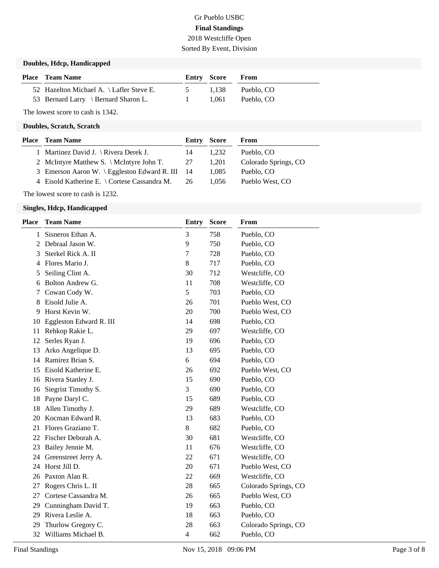# Gr Pueblo USBC **Final Standings** 2018 Westcliffe Open Sorted By Event, Division

## **Doubles, Hdcp, Handicapped**

| <b>Place</b> Team Name                   | Entry Score |       | From       |
|------------------------------------------|-------------|-------|------------|
| 52 Hazelton Michael A. \ Lafler Steve E. | $\sim$ 5    | 1.138 | Pueblo, CO |
| 53 Bernard Larry \ Bernard Sharon L.     |             | 1.061 | Pueblo, CO |

The lowest score to cash is 1342.

#### **Doubles, Scratch, Scratch**

| <b>Place</b> Team Name                            | Entry Score |       | From                 |
|---------------------------------------------------|-------------|-------|----------------------|
| 1 Martinez David J. $\langle$ Rivera Derek J.     | 14          | 1.232 | Pueblo, CO           |
| 2 McIntyre Matthew S. \ McIntyre John T.          | 27          | 1.201 | Colorado Springs, CO |
| 3 Emerson Aaron W. \ Eggleston Edward R. III $14$ |             | 1.085 | Pueblo, CO           |
| 4 Eisold Katherine E. \ Cortese Cassandra M.      | 26          | 1.056 | Pueblo West, CO      |
|                                                   |             |       |                      |

The lowest score to cash is 1232.

#### **Singles, Hdcp, Handicapped**

| <b>Place</b> | <b>Team Name</b>        | Entry          | <b>Score</b> | From                 |
|--------------|-------------------------|----------------|--------------|----------------------|
| 1            | Sisneros Ethan A.       | 3              | 758          | Pueblo, CO           |
| 2            | Debraal Jason W.        | 9              | 750          | Pueblo, CO           |
| 3            | Sterkel Rick A. II      | 7              | 728          | Pueblo, CO           |
| 4            | Flores Mario J.         | 8              | 717          | Pueblo, CO           |
| 5            | Seiling Clint A.        | 30             | 712          | Westcliffe, CO       |
| 6            | Bolton Andrew G.        | 11             | 708          | Westcliffe, CO       |
| 7            | Cowan Cody W.           | 5              | 703          | Pueblo, CO           |
| 8            | Eisold Julie A.         | 26             | 701          | Pueblo West, CO      |
| 9            | Horst Kevin W.          | 20             | 700          | Pueblo West, CO      |
| 10           | Eggleston Edward R. III | 14             | 698          | Pueblo, CO           |
| 11           | Rehkop Rakie L.         | 29             | 697          | Westcliffe, CO       |
| 12           | Serles Ryan J.          | 19             | 696          | Pueblo, CO           |
| 13           | Arko Angelique D.       | 13             | 695          | Pueblo, CO           |
| 14           | Ramirez Brian S.        | 6              | 694          | Pueblo, CO           |
| 15           | Eisold Katherine E.     | 26             | 692          | Pueblo West, CO      |
| 16           | Rivera Stanley J.       | 15             | 690          | Pueblo, CO           |
| 16           | Siegrist Timothy S.     | 3              | 690          | Pueblo, CO           |
| 18           | Payne Daryl C.          | 15             | 689          | Pueblo, CO           |
| 18           | Allen Timothy J.        | 29             | 689          | Westcliffe, CO       |
| 20           | Kocman Edward R.        | 13             | 683          | Pueblo, CO           |
| 21           | Flores Graziano T.      | 8              | 682          | Pueblo, CO           |
| 22           | Fischer Deborah A.      | 30             | 681          | Westcliffe, CO       |
| 23           | Bailey Jennie M.        | 11             | 676          | Westcliffe, CO       |
| 24           | Greenstreet Jerry A.    | 22             | 671          | Westcliffe, CO       |
| 24           | Horst Jill D.           | 20             | 671          | Pueblo West, CO      |
| 26           | Paxton Alan R.          | 22             | 669          | Westcliffe, CO       |
| 27           | Rogers Chris L. II      | 28             | 665          | Colorado Springs, CO |
| 27           | Cortese Cassandra M.    | 26             | 665          | Pueblo West, CO      |
| 29           | Cunningham David T.     | 19             | 663          | Pueblo, CO           |
| 29           | Rivera Leslie A.        | 18             | 663          | Pueblo, CO           |
| 29           | Thurlow Gregory C.      | 28             | 663          | Colorado Springs, CO |
| 32           | Williams Michael B.     | $\overline{4}$ | 662          | Pueblo, CO           |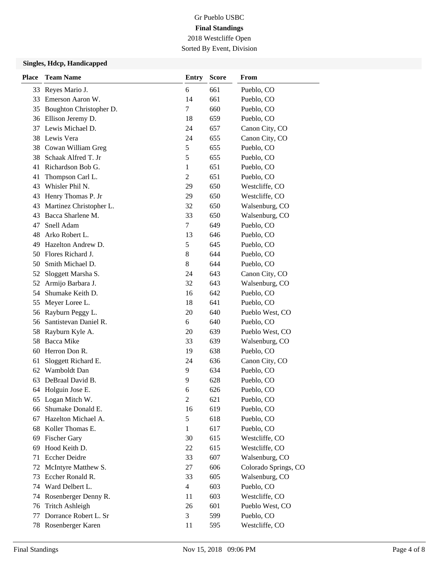Sorted By Event, Division

## **Singles, Hdcp, Handicapped**

| <b>Place</b> | <b>Team Name</b>        | <b>Entry</b>   | <b>Score</b> | From                 |
|--------------|-------------------------|----------------|--------------|----------------------|
| 33           | Reyes Mario J.          | 6              | 661          | Pueblo, CO           |
| 33           | Emerson Aaron W.        | 14             | 661          | Pueblo, CO           |
| 35           | Boughton Christopher D. | 7              | 660          | Pueblo, CO           |
|              | 36 Ellison Jeremy D.    | 18             | 659          | Pueblo, CO           |
| 37           | Lewis Michael D.        | 24             | 657          | Canon City, CO       |
| 38           | Lewis Vera              | 24             | 655          | Canon City, CO       |
|              | 38 Cowan William Greg   | $\mathfrak s$  | 655          | Pueblo, CO           |
| 38           | Schaak Alfred T. Jr     | 5              | 655          | Pueblo, CO           |
| 41           | Richardson Bob G.       | $\mathbf{1}$   | 651          | Pueblo, CO           |
| 41           | Thompson Carl L.        | $\overline{2}$ | 651          | Pueblo, CO           |
| 43           | Whisler Phil N.         | 29             | 650          | Westcliffe, CO       |
| 43           | Henry Thomas P. Jr      | 29             | 650          | Westcliffe, CO       |
| 43           | Martinez Christopher L. | 32             | 650          | Walsenburg, CO       |
| 43           | Bacca Sharlene M.       | 33             | 650          | Walsenburg, CO       |
| 47           | Snell Adam              | $\tau$         | 649          | Pueblo, CO           |
| 48           | Arko Robert L.          | 13             | 646          | Pueblo, CO           |
| 49           | Hazelton Andrew D.      | 5              | 645          | Pueblo, CO           |
| 50           | Flores Richard J.       | 8              | 644          | Pueblo, CO           |
| 50           | Smith Michael D.        | 8              | 644          | Pueblo, CO           |
| 52           | Sloggett Marsha S.      | 24             | 643          | Canon City, CO       |
| 52           | Armijo Barbara J.       | 32             | 643          | Walsenburg, CO       |
| 54           | Shumake Keith D.        | 16             | 642          | Pueblo, CO           |
| 55           | Meyer Loree L.          | 18             | 641          | Pueblo, CO           |
| 56           | Rayburn Peggy L.        | 20             | 640          | Pueblo West, CO      |
| 56           | Santistevan Daniel R.   | 6              | 640          | Pueblo, CO           |
| 58           | Rayburn Kyle A.         | 20             | 639          | Pueblo West, CO      |
| 58           | Bacca Mike              | 33             | 639          | Walsenburg, CO       |
| 60           | Herron Don R.           | 19             | 638          | Pueblo, CO           |
| 61           | Sloggett Richard E.     | 24             | 636          | Canon City, CO       |
| 62           | Wamboldt Dan            | 9              | 634          | Pueblo, CO           |
| 63           | DeBraal David B.        | 9              | 628          | Pueblo, CO           |
|              | 64 Holguin Jose E.      | 6              | 626          | Pueblo, CO           |
| 65           | Logan Mitch W.          | $\overline{c}$ | 621          | Pueblo, CO           |
| 66           | Shumake Donald E.       | 16             | 619          | Pueblo, CO           |
| 67           | Hazelton Michael A.     | 5              | 618          | Pueblo, CO           |
| 68           | Koller Thomas E.        | 1              | 617          | Pueblo, CO           |
| 69           | <b>Fischer Gary</b>     | 30             | 615          | Westcliffe, CO       |
| 69           | Hood Keith D.           | 22             | 615          | Westcliffe, CO       |
| 71           | Eccher Deidre           | 33             | 607          | Walsenburg, CO       |
| 72           | McIntyre Matthew S.     | 27             | 606          | Colorado Springs, CO |
| 73           | Eccher Ronald R.        | 33             | 605          | Walsenburg, CO       |
| 74           | Ward Delbert L.         | $\overline{4}$ | 603          | Pueblo, CO           |
| 74           | Rosenberger Denny R.    | 11             | 603          | Westcliffe, CO       |
| 76           | <b>Tritch Ashleigh</b>  | 26             | 601          | Pueblo West, CO      |
| 77           | Dorrance Robert L. Sr   | 3              | 599          | Pueblo, CO           |
|              | 78 Rosenberger Karen    | 11             | 595          | Westcliffe, CO       |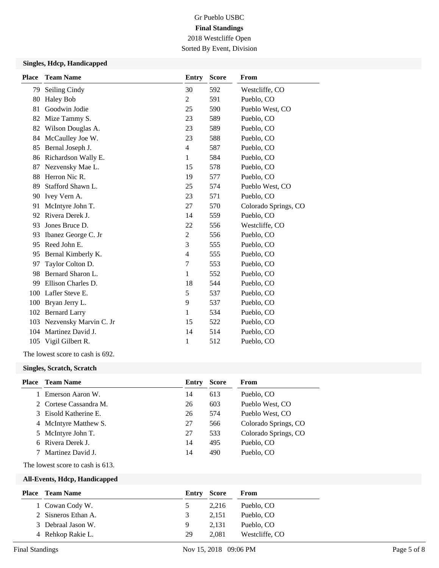Sorted By Event, Division

## **Singles, Hdcp, Handicapped**

| <b>Place</b> | <b>Team Name</b>       | <b>Entry</b>   | <b>Score</b> | From                 |
|--------------|------------------------|----------------|--------------|----------------------|
| 79           | Seiling Cindy          | 30             | 592          | Westcliffe, CO       |
| 80           | <b>Haley Bob</b>       | 2              | 591          | Pueblo, CO           |
| 81           | Goodwin Jodie          | 25             | 590          | Pueblo West, CO      |
| 82           | Mize Tammy S.          | 23             | 589          | Pueblo, CO           |
| 82           | Wilson Douglas A.      | 23             | 589          | Pueblo, CO           |
| 84           | McCaulley Joe W.       | 23             | 588          | Pueblo, CO           |
| 85           | Bernal Joseph J.       | 4              | 587          | Pueblo, CO           |
| 86           | Richardson Wally E.    | 1              | 584          | Pueblo, CO           |
| 87           | Nezvensky Mae L.       | 15             | 578          | Pueblo, CO           |
| 88           | Herron Nic R.          | 19             | 577          | Pueblo, CO           |
| 89           | Stafford Shawn L.      | 25             | 574          | Pueblo West, CO      |
| 90           | Ivey Vern A.           | 23             | 571          | Pueblo, CO           |
| 91           | McIntyre John T.       | 27             | 570          | Colorado Springs, CO |
| 92           | Rivera Derek J.        | 14             | 559          | Pueblo, CO           |
| 93           | Jones Bruce D.         | 22             | 556          | Westcliffe, CO       |
| 93           | Ibanez George C. Jr    | $\overline{2}$ | 556          | Pueblo, CO           |
| 95           | Reed John E.           | 3              | 555          | Pueblo, CO           |
| 95           | Bernal Kimberly K.     | $\overline{4}$ | 555          | Pueblo, CO           |
| 97           | Taylor Colton D.       | 7              | 553          | Pueblo, CO           |
| 98           | Bernard Sharon L.      | 1              | 552          | Pueblo, CO           |
| 99           | Ellison Charles D.     | 18             | 544          | Pueblo, CO           |
| 100          | Lafler Steve E.        | 5              | 537          | Pueblo, CO           |
| 100          | Bryan Jerry L.         | 9              | 537          | Pueblo, CO           |
| 102          | <b>Bernard Larry</b>   | 1              | 534          | Pueblo, CO           |
| 103          | Nezvensky Marvin C. Jr | 15             | 522          | Pueblo, CO           |
| 104          | Martinez David J.      | 14             | 514          | Pueblo, CO           |
| 105          | Vigil Gilbert R.       | 1              | 512          | Pueblo, CO           |
|              |                        |                |              |                      |

The lowest score to cash is 692.

#### **Singles, Scratch, Scratch**

| <b>Place</b> | <b>Team Name</b>       | Entry | <b>Score</b> | From                 |
|--------------|------------------------|-------|--------------|----------------------|
|              | Emerson Aaron W.       | 14    | 613          | Pueblo, CO           |
|              | 2 Cortese Cassandra M. | 26    | 603          | Pueblo West, CO      |
|              | 3 Eisold Katherine E.  | 26    | 574          | Pueblo West, CO      |
|              | 4 McIntyre Matthew S.  | 27    | 566          | Colorado Springs, CO |
|              | 5 McIntyre John T.     | 27    | 533          | Colorado Springs, CO |
|              | 6 Rivera Derek J.      | 14    | 495          | Pueblo, CO           |
|              | Martinez David J.      | 14    | 490          | Pueblo, CO           |

The lowest score to cash is 613.

#### **All-Events, Hdcp, Handicapped**

| <b>Place</b> Team Name | Entry Score   |       | From           |
|------------------------|---------------|-------|----------------|
| 1 Cowan Cody W.        | $\mathcal{L}$ | 2.216 | Pueblo, CO     |
| 2 Sisneros Ethan A.    | 3             | 2.151 | Pueblo, CO     |
| 3 Debraal Jason W.     | 9             | 2.131 | Pueblo, CO     |
| 4 Rehkop Rakie L.      | 29            | 2.081 | Westcliffe, CO |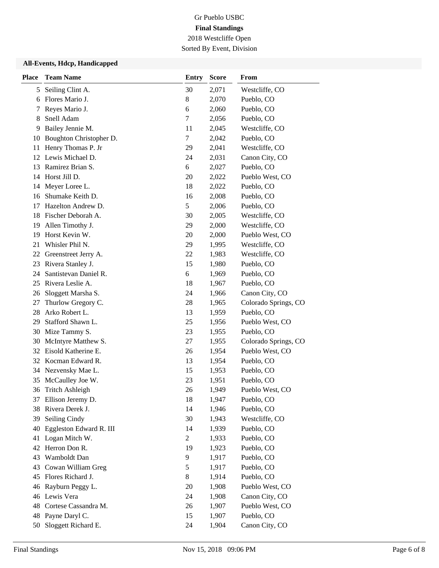Sorted By Event, Division

## **All-Events, Hdcp, Handicapped**

| <b>Place</b> | <b>Team Name</b>        | <b>Entry</b>   | <b>Score</b> | From                 |
|--------------|-------------------------|----------------|--------------|----------------------|
| 5            | Seiling Clint A.        | 30             | 2,071        | Westcliffe, CO       |
| 6            | Flores Mario J.         | 8              | 2,070        | Pueblo, CO           |
| 7            | Reyes Mario J.          | 6              | 2,060        | Pueblo, CO           |
| 8            | Snell Adam              | 7              | 2,056        | Pueblo, CO           |
| 9            | Bailey Jennie M.        | 11             | 2,045        | Westcliffe, CO       |
| 10           | Boughton Christopher D. | $\tau$         | 2,042        | Pueblo, CO           |
| 11           | Henry Thomas P. Jr      | 29             | 2,041        | Westcliffe, CO       |
|              | 12 Lewis Michael D.     | 24             | 2,031        | Canon City, CO       |
| 13           | Ramirez Brian S.        | 6              | 2,027        | Pueblo, CO           |
| 14           | Horst Jill D.           | 20             | 2,022        | Pueblo West, CO      |
| 14           | Meyer Loree L.          | 18             | 2,022        | Pueblo, CO           |
| 16           | Shumake Keith D.        | 16             | 2,008        | Pueblo, CO           |
| 17           | Hazelton Andrew D.      | 5              | 2,006        | Pueblo, CO           |
| 18           | Fischer Deborah A.      | 30             | 2,005        | Westcliffe, CO       |
| 19           | Allen Timothy J.        | 29             | 2,000        | Westcliffe, CO       |
| 19           | Horst Kevin W.          | 20             | 2,000        | Pueblo West, CO      |
| 21           | Whisler Phil N.         | 29             | 1,995        | Westcliffe, CO       |
| 22           | Greenstreet Jerry A.    | 22             | 1,983        | Westcliffe, CO       |
| 23           | Rivera Stanley J.       | 15             | 1,980        | Pueblo, CO           |
| 24           | Santistevan Daniel R.   | 6              | 1,969        | Pueblo, CO           |
| 25           | Rivera Leslie A.        | 18             | 1,967        | Pueblo, CO           |
| 26           | Sloggett Marsha S.      | 24             | 1,966        | Canon City, CO       |
| 27           | Thurlow Gregory C.      | 28             | 1,965        | Colorado Springs, CO |
| 28           | Arko Robert L.          | 13             | 1,959        | Pueblo, CO           |
| 29           | Stafford Shawn L.       | 25             | 1,956        | Pueblo West, CO      |
| 30           | Mize Tammy S.           | 23             | 1,955        | Pueblo, CO           |
| 30           | McIntyre Matthew S.     | 27             | 1,955        | Colorado Springs, CO |
| 32           | Eisold Katherine E.     | 26             | 1,954        | Pueblo West, CO      |
|              | 32 Kocman Edward R.     | 13             | 1,954        | Pueblo, CO           |
| 34           | Nezvensky Mae L.        | 15             | 1,953        | Pueblo, CO           |
| 35           | McCaulley Joe W.        | 23             | 1,951        | Pueblo, CO           |
| 36           | <b>Tritch Ashleigh</b>  | 26             | 1,949        | Pueblo West, CO      |
| 37           | Ellison Jeremy D.       | 18             | 1,947        | Pueblo, CO           |
| 38           | Rivera Derek J.         | 14             | 1,946        | Pueblo, CO           |
| 39           | Seiling Cindy           | 30             | 1,943        | Westcliffe, CO       |
| 40           | Eggleston Edward R. III | 14             | 1,939        | Pueblo, CO           |
| 41           | Logan Mitch W.          | $\overline{c}$ | 1,933        | Pueblo, CO           |
| 42           | Herron Don R.           | 19             | 1,923        | Pueblo, CO           |
| 43           | Wamboldt Dan            | 9              | 1,917        | Pueblo, CO           |
| 43           | Cowan William Greg      | 5              | 1,917        | Pueblo, CO           |
| 45           | Flores Richard J.       | 8              | 1,914        | Pueblo, CO           |
| 46           | Rayburn Peggy L.        | 20             | 1,908        | Pueblo West, CO      |
|              | 46 Lewis Vera           | 24             | 1,908        | Canon City, CO       |
| 48           | Cortese Cassandra M.    | 26             | 1,907        | Pueblo West, CO      |
| 48           | Payne Daryl C.          | 15             | 1,907        | Pueblo, CO           |
| 50           | Sloggett Richard E.     | 24             | 1,904        | Canon City, CO       |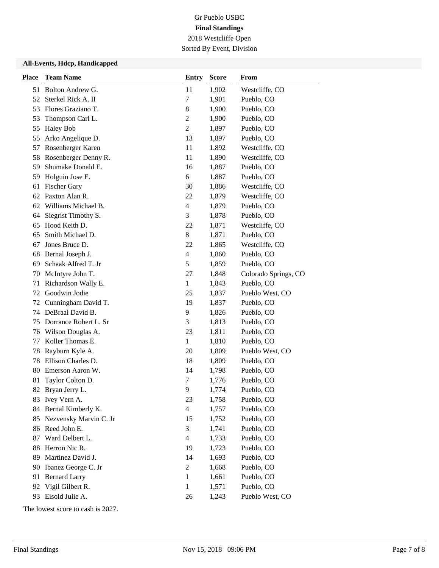Sorted By Event, Division

## **All-Events, Hdcp, Handicapped**

| <b>Place</b> | <b>Team Name</b>       | <b>Entry</b>             | <b>Score</b> | From                 |
|--------------|------------------------|--------------------------|--------------|----------------------|
| 51           | Bolton Andrew G.       | 11                       | 1,902        | Westcliffe, CO       |
| 52           | Sterkel Rick A. II     | 7                        | 1,901        | Pueblo, CO           |
| 53           | Flores Graziano T.     | 8                        | 1,900        | Pueblo, CO           |
| 53           | Thompson Carl L.       | $\mathfrak{2}$           | 1,900        | Pueblo, CO           |
| 55           | <b>Haley Bob</b>       | $\overline{2}$           | 1,897        | Pueblo, CO           |
| 55           | Arko Angelique D.      | 13                       | 1,897        | Pueblo, CO           |
| 57           | Rosenberger Karen      | 11                       | 1,892        | Westcliffe, CO       |
| 58           | Rosenberger Denny R.   | 11                       | 1,890        | Westcliffe, CO       |
| 59           | Shumake Donald E.      | 16                       | 1,887        | Pueblo, CO           |
| 59           | Holguin Jose E.        | 6                        | 1,887        | Pueblo, CO           |
| 61           | <b>Fischer Gary</b>    | 30                       | 1,886        | Westcliffe, CO       |
| 62           | Paxton Alan R.         | 22                       | 1,879        | Westcliffe, CO       |
| 62           | Williams Michael B.    | $\overline{\mathbf{4}}$  | 1,879        | Pueblo, CO           |
| 64           | Siegrist Timothy S.    | 3                        | 1,878        | Pueblo, CO           |
| 65           | Hood Keith D.          | 22                       | 1,871        | Westcliffe, CO       |
| 65           | Smith Michael D.       | 8                        | 1,871        | Pueblo, CO           |
| 67           | Jones Bruce D.         | 22                       | 1,865        | Westcliffe, CO       |
| 68           | Bernal Joseph J.       | $\overline{\mathcal{L}}$ | 1,860        | Pueblo, CO           |
| 69           | Schaak Alfred T. Jr    | $\mathfrak s$            | 1,859        | Pueblo, CO           |
| 70           | McIntyre John T.       | 27                       | 1,848        | Colorado Springs, CO |
| 71           | Richardson Wally E.    | $\mathbf{1}$             | 1,843        | Pueblo, CO           |
| 72           | Goodwin Jodie          | 25                       | 1,837        | Pueblo West, CO      |
| 72           | Cunningham David T.    | 19                       | 1,837        | Pueblo, CO           |
| 74           | DeBraal David B.       | 9                        | 1,826        | Pueblo, CO           |
| 75           | Dorrance Robert L. Sr  | 3                        | 1,813        | Pueblo, CO           |
| 76           | Wilson Douglas A.      | 23                       | 1,811        | Pueblo, CO           |
| 77           | Koller Thomas E.       | $\mathbf{1}$             | 1,810        | Pueblo, CO           |
| 78           | Rayburn Kyle A.        | 20                       | 1,809        | Pueblo West, CO      |
| 78           | Ellison Charles D.     | 18                       | 1,809        | Pueblo, CO           |
| 80           | Emerson Aaron W.       | 14                       | 1,798        | Pueblo, CO           |
| 81           | Taylor Colton D.       | 7                        | 1,776        | Pueblo, CO           |
| 82           | Bryan Jerry L.         | 9                        | 1,774        | Pueblo, CO           |
| 83           | Ivey Vern A.           | 23                       | 1,758        | Pueblo, CO           |
| 84           | Bernal Kimberly K.     | $\overline{\mathcal{L}}$ | 1,757        | Pueblo, CO           |
| 85           | Nezvensky Marvin C. Jr | 15                       | 1,752        | Pueblo, CO           |
| 86           | Reed John E.           | 3                        | 1,741        | Pueblo, CO           |
| 87           | Ward Delbert L.        | $\overline{4}$           | 1,733        | Pueblo, CO           |
| 88           | Herron Nic R.          | 19                       | 1,723        | Pueblo, CO           |
| 89           | Martinez David J.      | 14                       | 1,693        | Pueblo, CO           |
| 90           | Ibanez George C. Jr    | $\overline{c}$           | 1,668        | Pueblo, CO           |
| 91           | <b>Bernard Larry</b>   | $\mathbf{1}$             | 1,661        | Pueblo, CO           |
| 92           | Vigil Gilbert R.       | 1                        | 1,571        | Pueblo, CO           |
| 93           | Eisold Julie A.        | 26                       | 1,243        | Pueblo West, CO      |

The lowest score to cash is 2027.